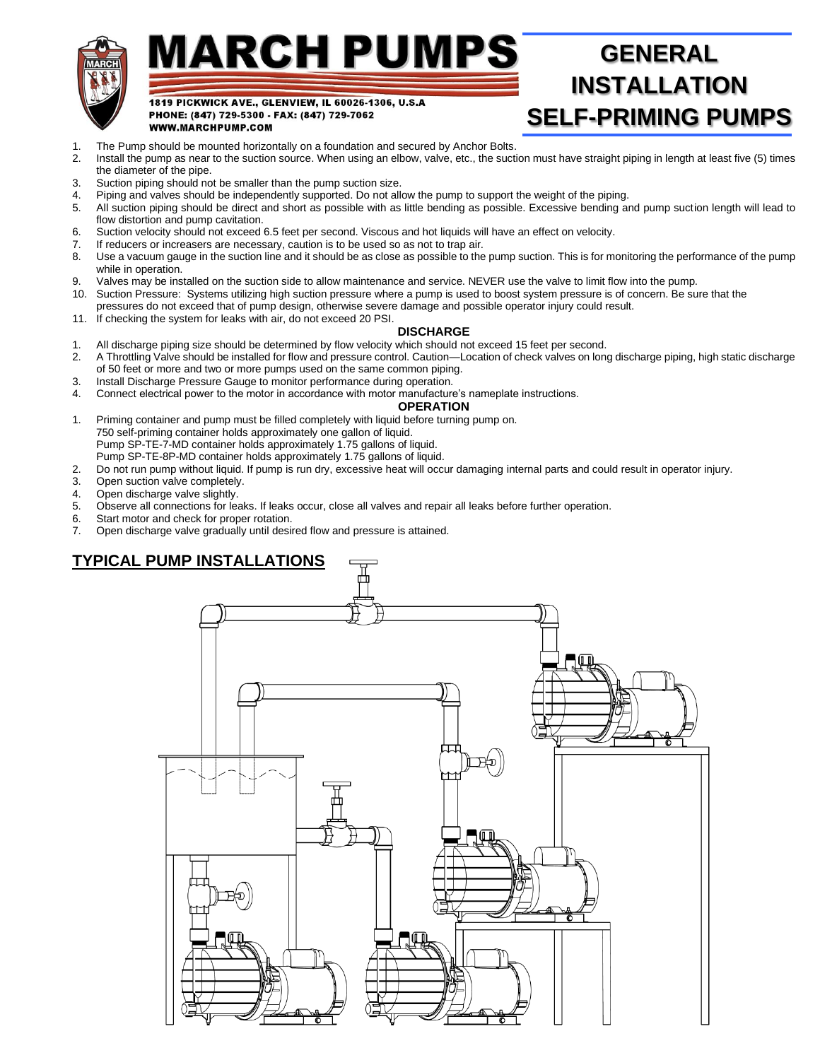

# MARCH PUMPS

## **GENERAL INSTALLATION SELF-PRIMING PUMPS**

1. The Pump should be mounted horizontally on a foundation and secured by Anchor Bolts.

1819 PICKWICK AVE., GLENVIEW, IL 60026-1306, U.S.A

PHONE: (847) 729-5300 - FAX: (847) 729-7062

- 2. Install the pump as near to the suction source. When using an elbow, valve, etc., the suction must have straight piping in length at least five (5) times the diameter of the pipe.
- 3. Suction piping should not be smaller than the pump suction size.

WWW.MARCHPUMP.COM

- 4. Piping and valves should be independently supported. Do not allow the pump to support the weight of the piping.
- 5. All suction piping should be direct and short as possible with as little bending as possible. Excessive bending and pump suction length will lead to flow distortion and pump cavitation.
- 6. Suction velocity should not exceed 6.5 feet per second. Viscous and hot liquids will have an effect on velocity.
- 7. If reducers or increasers are necessary, caution is to be used so as not to trap air.
- 8. Use a vacuum gauge in the suction line and it should be as close as possible to the pump suction. This is for monitoring the performance of the pump while in operation.
- 9. Valves may be installed on the suction side to allow maintenance and service. NEVER use the valve to limit flow into the pump.
- 10. Suction Pressure: Systems utilizing high suction pressure where a pump is used to boost system pressure is of concern. Be sure that the
- pressures do not exceed that of pump design, otherwise severe damage and possible operator injury could result.
- 11. If checking the system for leaks with air, do not exceed 20 PSI.

## **DISCHARGE**

- 1. All discharge piping size should be determined by flow velocity which should not exceed 15 feet per second.
- 2. A Throttling Valve should be installed for flow and pressure control. Caution—Location of check valves on long discharge piping, high static discharge of 50 feet or more and two or more pumps used on the same common piping.
- 3. Install Discharge Pressure Gauge to monitor performance during operation.
- 4. Connect electrical power to the motor in accordance with motor manufacture's nameplate instructions.

#### **OPERATION**

- 1. Priming container and pump must be filled completely with liquid before turning pump on. 750 self-priming container holds approximately one gallon of liquid. Pump SP-TE-7-MD container holds approximately 1.75 gallons of liquid. Pump SP-TE-8P-MD container holds approximately 1.75 gallons of liquid.
- 2. Do not run pump without liquid. If pump is run dry, excessive heat will occur damaging internal parts and could result in operator injury.
- 3. Open suction valve completely.
- 4. Open discharge valve slightly.
- 5. Observe all connections for leaks. If leaks occur, close all valves and repair all leaks before further operation.
- 6. Start motor and check for proper rotation.<br>7. Open discharge valve gradually until desi
- 7. Open discharge valve gradually until desired flow and pressure is attained.

## **TYPICAL PUMP INSTALLATIONS**